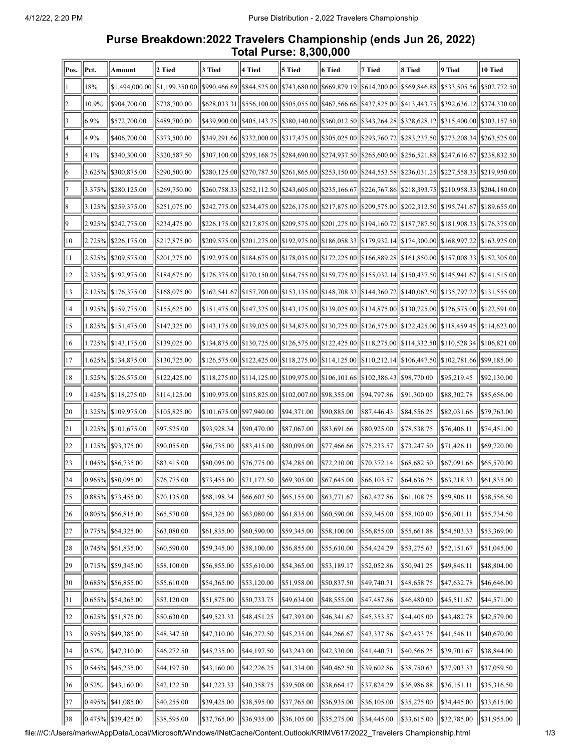## **Purse Breakdown:2022 Travelers Championship (ends Jun 26, 2022) Total Purse: 8,300,000**

| Pos.           | Pct.        | Amount                  | 2 Tied         | 3 Tied       | 4 Tied                          | 5 Tied                    | 6 Tied                                                                                                                                               | 7 Tied      | 8 Tied       | 9 Tied                                | 10 Tied        |
|----------------|-------------|-------------------------|----------------|--------------|---------------------------------|---------------------------|------------------------------------------------------------------------------------------------------------------------------------------------------|-------------|--------------|---------------------------------------|----------------|
|                | 18%         | \$1,494,000.00          | \$1,199,350.00 | \$990,466.69 | \$844,525.00                    |                           | \$743,680.00  \$669,879.19  \$614,200.00  \$569,846.88                                                                                               |             |              | \$533,505.56                          | \$502,772.50   |
| 2              | 10.9%       | \$904,700.00            | \$738,700.00   | \$628,033.31 | \$556,100.00                    |                           | \$505,055.00  \$467,566.66  \$437,825.00  \$413,443.75                                                                                               |             |              | \$392,636.12                          | \$374,330.00   |
| 3              | 6.9%        | \$572,700.00            | \$489,700.00   | \$439,900.00 | \$405,143.75                    |                           | \$380,140.00  \$360,012.50  \$343,264.28  \$328,628.12                                                                                               |             |              | \$315,400.00                          | \$303,157.50   |
| 4              | 4.9%        | \$406,700.00            | \$373,500.00   | \$349,291.66 | \$332,000.00                    |                           | \$317,475.00  \$305,025.00  \$293,760.72  \$283,237.50                                                                                               |             |              | \$273,208.34                          | \$263,525.00   |
| 5              | 4.1%        | \$340,300.00            | \$320,587.50   | \$307,100.00 | \$295,168.75                    |                           | \$284,690.00  \$274,937.50  \$265,600.00  \$256,521.88                                                                                               |             |              | \$247,616.67                          | \$238,832.50   |
| 6              | 3.625%      | \$300,875.00            | \$290,500.00   | \$280,125.00 | \$270,787.50                    |                           | \$261,865.00  \$253,150.00  \$244,553.58  \$236,031.25  \$227,558.33                                                                                 |             |              |                                       | \$219,950.00   |
| $\overline{7}$ | 3.375%      | \$280,125.00            | \$269,750.00   | \$260,758.33 | \$252,112.50                    |                           | \$243,605.00  \$235,166.67  \$226,767.86  \$218,393.75                                                                                               |             |              | \$210,958.33                          | \$204,180.00   |
| 8              | 3.125%      | \$259,375.00            | \$251,075.00   | \$242,775.00 | \$234,475.00                    |                           | \$226,175.00  \$217,875.00  \$209,575.00  \$202,312.50                                                                                               |             |              | \$195,741.67                          | \$189,655.00   |
| $ 9\rangle$    | 2.925%      | \$242,775.00            | \$234,475.00   | \$226,175.00 | \$217,875.00                    |                           | \$209,575.00  \$201,275.00  \$194,160.72  \$187,787.50                                                                                               |             |              | \$181,908.33                          | \$176,375.00   |
| 10             | 2.725%      | \$226,175.00            | \$217,875.00   | \$209,575.00 | \$201,275.00                    |                           | \$192,975.00  \$186,058.33  \$179,932.14  \$174,300.00                                                                                               |             |              | \$168,997.22                          | \$163,925.00   |
| 11             | 2.525%      | \$209,575.00            | \$201,275.00   | \$192,975.00 | \$184,675.00                    |                           | $\left  \frac{$178,035.00}{\$172,225.00} \right  \left  \frac{$166,889.28}{\$161,850.00} \right $                                                    |             |              | \$157,008.33                          | \$152,305.00   |
| 12             | 2.325%      | \$192,975.00            | \$184,675.00   | \$176,375.00 | \$170,150.00                    |                           | $\left  \frac{$164,755.00}{\$159,775.00} \right  \left  \frac{$155,032.14}{\$150,437.50} \right $                                                    |             |              | \$145,941.67  \$141,515.00            |                |
| 13             | $ 2.125\% $ | \$176,375.00            | \$168,075.00   |              | $ $162,541.67 $ $ $157,700.00 $ |                           | $\left  \frac{$153,135.00}{\$148,708.33} \right  \left  \frac{$144,360.72}{\$140,062.50} \right $                                                    |             |              | \$135,797.22                          | [\$131,555.00] |
| 14             | 1.925%      | \$159,775.00            | \$155,625.00   |              | \$151,475.00  \$147,325.00      |                           | \$143,175.00  \$139,025.00  \$134,875.00  \$130,725.00                                                                                               |             |              | \$126,575.00                          | \$122,591.00   |
| 15             | 1.825%      | \$151,475.00            | \$147,325.00   | \$143,175.00 |                                 |                           | $\left  \frac{\$139,025.00}{\$134,875.00} \right  \left  \frac{\$130,725.00}{\$126,575.00} \right  \left  \frac{\$122,425.00}{\$122,425.00} \right $ |             |              | $\frac{1}{18118,459.45}$ \s114,623.00 |                |
| <sup>16</sup>  | 1.725%      | \$143,175.00            | \$139,025.00   | \$134,875.00 | \$130,725.00                    |                           | $\frac{\frac{1}{2}[126,575.00]}{122,425.00}$ \ \ \ \ \ 118,275.00                                                                                    |             | \$114,332.50 | \$110,528.34                          | \$106,821.00   |
| 17             | 1.625%      | \$134,875.00            | \$130,725.00   | \$126,575.00 | \$122,425.00                    |                           | $\vert$ \$118,275.00 $\vert$  \$114,125.00 $\vert$  \$110,212.14 $\vert$  \$106,447.50                                                               |             |              | \$102,781.66                          | \$99,185.00    |
| 18             | 1.525%      | \$126,575.00            | \$122,425.00   | \$118,275.00 | \$114,125.00                    |                           | \$109,975.00  \$106,101.66  \$102,386.43                                                                                                             |             | \$98,770.00  | \$95,219.45                           | \$92,130.00    |
| 19             | 1.425%      | \$118,275.00            | \$114,125.00   | \$109,975.00 | \$105,825.00                    | \$102,007.00  \$98,355.00 |                                                                                                                                                      | \$94,797.86 | \$91,300.00  | \$88,302.78                           | \$85,656.00    |
| 20             | 1.325%      | \$109,975.00            | \$105,825.00   | \$101,675.00 | \$97,940.00                     | \$94,371.00               | \$90,885.00                                                                                                                                          | \$87,446.43 | \$84,556.25  | \$82,031.66                           | \$79,763.00    |
| 21             | 1.225%      | \$101,675.00            | \$97,525.00    | \$93,928.34  | \$90,470.00                     | \$87,067.00               | \$83,691.66                                                                                                                                          | \$80,925.00 | \$78,538.75  | \$76,406.11                           | \$74,451.00    |
| 22             | 1.125%      | \$93,375.00             | \$90,055.00    | \$86,735.00  | \$83,415.00                     | \$80,095.00               | \$77,466.66                                                                                                                                          | \$75,233.57 | \$73,247.50  | \$71,426.11                           | \$69,720.00    |
| 23             | $ 1.045\% $ | \$86,735.00             | \$83,415.00    | \$80,095.00  | \$76,775.00                     | \$74,285.00               | \$72,210.00                                                                                                                                          | \$70,372.14 | \$68,682.50  | \$67,091.66                           | \$65,570.00    |
| 24             |             | 0.965%  \$80,095.00     | \$76,775.00    | \$73,455.00  | \$71,172.50                     | \$69,305.00               | \$67,645.00                                                                                                                                          | \$66,103.57 | \$64,636.25  | \$63,218.33                           | \$61,835.00    |
| 25             | $ 0.885\% $ | \$73,455.00             | \$70,135.00    | \$68,198.34  | \$66,607.50                     | \$65,155.00               | \$63,771.67                                                                                                                                          | \$62,427.86 | \$61,108.75  | \$59,806.11                           | \$58,556.50    |
| 26             | $ 0.805\% $ | \$66,815.00             | \$65,570.00    | \$64,325.00  | \$63,080.00                     | \$61,835.00               | \$60,590.00                                                                                                                                          | \$59,345.00 | \$58,100.00  | \$56,901.11                           | \$55,734.50    |
| 27             | $ 0.775\% $ | \$64,325.00             | \$63,080.00    | \$61,835.00  | \$60,590.00                     | \$59,345.00               | \$58,100.00                                                                                                                                          | \$56,855.00 | \$55,661.88  | \$54,503.33                           | \$53,369.00    |
| 28             | 0.745%      | \$61,835.00             | \$60,590.00    | \$59,345.00  | \$58,100.00                     | \$56,855.00               | \$55,610.00                                                                                                                                          | \$54,424.29 | \$53,275.63  | \$52,151.67                           | \$51,045.00    |
| 29             | $ 0.715\% $ | \$59,345.00             | \$58,100.00    | \$56,855.00  | \$55,610.00                     | \$54,365.00               | \$53,189.17                                                                                                                                          | \$52,052.86 | \$50,941.25  | \$49,846.11                           | \$48,804.00    |
| 30             | $ 0.685\% $ | \$56,855.00             | \$55,610.00    | \$54,365.00  | \$53,120.00                     | \$51,958.00               | \$50,837.50                                                                                                                                          | \$49,740.71 | \$48,658.75  | \$47,632.78                           | \$46,646.00    |
| 31             | $ 0.655\% $ | \$54,365.00             | \$53,120.00    | \$51,875.00  | \$50,733.75                     | \$49,634.00               | \$48,555.00                                                                                                                                          | \$47,487.86 | \$46,480.00  | \$45,511.67                           | \$44,571.00    |
| 32             | $ 0.625\% $ | \$51,875.00             | \$50,630.00    | \$49,523.33  | \$48,451.25                     | \$47,393.00               | \$46,341.67                                                                                                                                          | \$45,353.57 | \$44,405.00  | \$43,482.78                           | \$42,579.00    |
| 33             | $ 0.595\% $ | \$49,385.00             | \$48,347.50    | \$47,310.00  | \$46,272.50                     | \$45,235.00               | \$44,266.67                                                                                                                                          | \$43,337.86 | \$42,433.75  | \$41,546.11                           | \$40,670.00    |
| 34             | 0.57%       | \$47,310.00             | \$46,272.50    | \$45,235.00  | \$44,197.50                     | \$43,243.00               | \$42,330.00                                                                                                                                          | \$41,440.71 | \$40,566.25  | \$39,701.67                           | \$38,844.00    |
| 35             | 0.545%      | \$45,235.00             | \$44,197.50    | \$43,160.00  | \$42,226.25                     | \$41,334.00               | \$40,462.50                                                                                                                                          | \$39,602.86 | \$38,750.63  | \$37,903.33                           | \$37,059.50    |
| 36             | 0.52%       | \$43,160.00             | \$42,122.50    | \$41,223.33  | \$40,358.75                     | \$39,508.00               | \$38,664.17                                                                                                                                          | \$37,824.29 | \$36,986.88  | \$36,151.11                           | \$35,316.50    |
| 37             | $ 0.495\% $ | \$41,085.00             | \$40,255.00    | \$39,425.00  | \$38,595.00                     | \$37,765.00               | \$36,935.00                                                                                                                                          | \$36,105.00 | \$35,275.00  | \$34,445.00                           | \$33,615.00    |
| 38             |             | $ 0.475\% $ \$39,425.00 | \$38,595.00    | \$37,765.00  | \$36,935.00                     | \$36,105.00               | \$35,275.00                                                                                                                                          | \$34,445.00 | \$33,615.00  | \$32,785.00                           | \$31,955.00    |

file:///C:/Users/markw/AppData/Local/Microsoft/Windows/INetCache/Content.Outlook/KRIMV617/2022\_Travelers Championship.html 1/3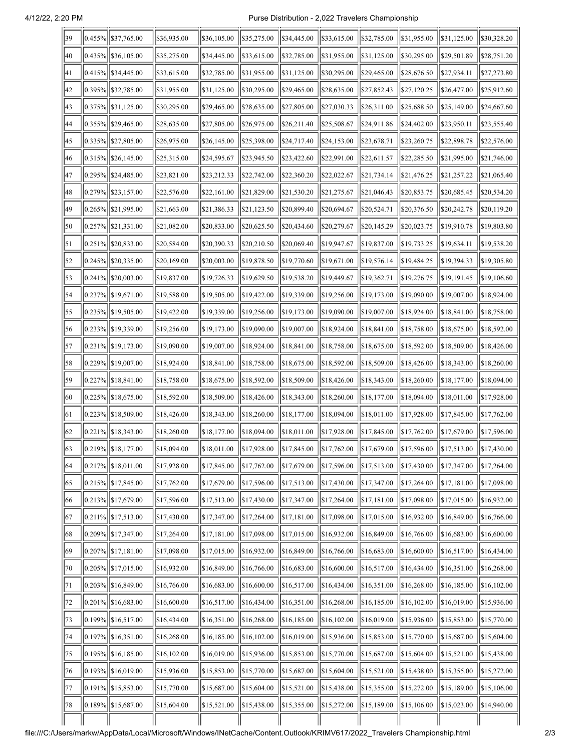## 4/12/22, 2:20 PM Purse Distribution - 2,022 Travelers Championship

| 39 | 0.455%  \$37,765.00      | \$36,935.00 | \$36,105.00 | \$35,275.00 | \$34,445.00               | \$33,615.00                           | \$32,785.00     | \$31,955.00 | \$31,125.00 | \$30,328.20 |
|----|--------------------------|-------------|-------------|-------------|---------------------------|---------------------------------------|-----------------|-------------|-------------|-------------|
| 40 | $ 0.435\% $ \\$36,105.00 | \$35,275.00 | \$34,445.00 | \$33,615.00 | \$32,785.00               | \$31,955.00                           | \$31,125.00     | \$30,295.00 | \$29,501.89 | \$28,751.20 |
| 41 | $ 0.415\% $ \\$34,445.00 | \$33,615.00 | \$32,785.00 | \$31,955.00 | \$31,125.00               | \$30,295.00                           | \$29,465.00     | \$28,676.50 | \$27,934.11 | \$27,273.80 |
| 42 | $ 0.395\% $ \\$32,785.00 | \$31,955.00 | \$31,125.00 | \$30,295.00 | \$29,465.00               | \$28,635.00                           | \$27,852.43     | \$27,120.25 | \$26,477.00 | \$25,912.60 |
| 43 | 0.375%  \$31,125.00      | \$30,295.00 | \$29,465.00 | \$28,635.00 | \$27,805.00               | \$27,030.33                           | \$26,311.00     | \$25,688.50 | \$25,149.00 | \$24,667.60 |
| 44 | $ 0.355\% $ \\$29,465.00 | \$28,635.00 | \$27,805.00 | \$26,975.00 | \$26,211.40               | \$25,508.67                           | \$24,911.86     | \$24,402.00 | \$23,950.11 | \$23,555.40 |
| 45 | 0.335%  \$27,805.00      | \$26,975.00 | \$26,145.00 | \$25,398.00 | \$24,717.40               | \$24,153.00                           | \$23,678.71     | \$23,260.75 | \$22,898.78 | \$22,576.00 |
| 46 | $[0.315\%]$ \$26,145.00  | \$25,315.00 | \$24,595.67 | \$23,945.50 | \$23,422.60               | \$22,991.00                           | \$22,611.57     | \$22,285.50 | \$21,995.00 | \$21,746.00 |
| 47 | $ 0.295\% $ \$24,485.00  | \$23,821.00 | \$23,212.33 | \$22,742.00 | \$22,360.20               | \$22,022.67                           | \$21,734.14     | \$21,476.25 | \$21,257.22 | \$21,065.40 |
| 48 | $[0.279\%]$ \$23,157.00  | \$22,576.00 | \$22,161.00 | \$21,829.00 | \$21,530.20               | \$21,275.67                           | \$21,046.43     | \$20,853.75 | \$20,685.45 | \$20,534.20 |
| 49 | 0.265%  \$21,995.00      | \$21,663.00 | \$21,386.33 | \$21,123.50 | \$20,899.40               | \$20,694.67                           | \$20,524.71     | \$20,376.50 | \$20,242.78 | \$20,119.20 |
| 50 | $ 0.257\% $ \\$21,331.00 | \$21,082.00 | \$20,833.00 | \$20,625.50 | \$20,434.60               | \$20,279.67                           | \$20,145.29     | \$20,023.75 | \$19,910.78 | \$19,803.80 |
| 51 | 0.251%  \$20,833.00      | \$20,584.00 | \$20,390.33 | \$20,210.50 | \$20,069.40               | \$19,947.67                           | \$19,837.00     | \$19,733.25 | \$19,634.11 | \$19,538.20 |
| 52 | $ 0.245\% $ \$20,335.00  | \$20,169.00 | \$20,003.00 | \$19,878.50 | \$19,770.60               | \$19,671.00                           | \$19,576.14     | \$19,484.25 | \$19,394.33 | \$19,305.80 |
| 53 | $ 0.241\% $ \$20,003.00  | \$19,837.00 | \$19,726.33 | \$19,629.50 | \$19,538.20               | \$19,449.67                           | \$19,362.71     | \$19,276.75 | \$19,191.45 | \$19,106.60 |
| 54 | $[0.237\%]$ \$19,671.00  | \$19,588.00 | \$19,505.00 | \$19,422.00 | \$19,339.00               | \$19,256.00                           | \$19,173.00     | \$19,090.00 | \$19,007.00 | \$18,924.00 |
| 55 | $[0.235\%]$ \$19,505.00  | \$19,422.00 | \$19,339.00 | \$19,256.00 | \$19,173.00               | \$19,090.00                           | \$19,007.00     | \$18,924.00 | \$18,841.00 | \$18,758.00 |
| 56 | $[0.233\%]$ \$19,339.00  | \$19,256.00 | \$19,173.00 | \$19,090.00 | \$19,007.00               | \$18,924.00                           | \$18,841.00     | \$18,758.00 | \$18,675.00 | \$18,592.00 |
| 57 | $[0.231\%]$ \$19,173.00  | \$19,090.00 | \$19,007.00 | \$18,924.00 | \$18,841.00               | \$18,758.00                           | \$18,675.00     | \$18,592.00 | \$18,509.00 | \$18,426.00 |
| 58 | $[0.229\%]$ \$19,007.00  | \$18,924.00 | \$18,841.00 | \$18,758.00 | \$18,675.00               | \$18,592.00                           | \$18,509.00     | \$18,426.00 | \$18,343.00 | \$18,260.00 |
| 59 | $ 0.227\% $ \\$18,841.00 | \$18,758.00 | \$18,675.00 | \$18,592.00 | \$18,509.00               | \$18,426.00                           | \$18,343.00     | \$18,260.00 | \$18,177.00 | \$18,094.00 |
| 60 | $ 0.225\% $ \$18,675.00  | \$18,592.00 | \$18,509.00 | \$18,426.00 | \$18,343.00               | \$18,260.00                           | \$18,177.00     | \$18,094.00 | \$18,011.00 | \$17,928.00 |
| 61 | 0.223% \ \ \ \$18,509.00 | \$18,426.00 | \$18,343.00 | \$18,260.00 | \$18,177.00               | \$18,094.00                           | \$18,011.00     | \$17,928.00 | \$17,845.00 | \$17,762.00 |
| 62 | $ 0.221\% $ \$18,343.00  | \$18,260.00 | \$18,177.00 | \$18,094.00 | \$18,011.00               | \$17,928.00                           | \$17,845.00     | \$17,762.00 | \$17,679.00 | \$17,596.00 |
| 63 | $ 0.219\% $ \$18,177.00  | \$18,094.00 | \$18,011.00 | \$17,928.00 | $\frac{1}{1}$ \$17,845.00 | $\left  \frac{$17,762.00}{ } \right $ | $  \$17,679.00$ | \$17,596.00 | \$17,513.00 | \$17,430.00 |
| 64 | $ 0.217\% $ \$18,011.00  | \$17,928.00 | \$17,845.00 | \$17,762.00 | \$17,679.00               | \$17,596.00                           | \$17,513.00     | \$17,430.00 | \$17,347.00 | \$17,264.00 |
| 65 | $[0.215\%]$ \$17,845.00  | \$17,762.00 | \$17,679.00 | \$17,596.00 | \$17,513.00               | \$17,430.00                           | \$17,347.00     | \$17,264.00 | \$17,181.00 | \$17,098.00 |
| 66 | $ 0.213\% $ \$17,679.00  | \$17,596.00 | \$17,513.00 | \$17,430.00 | \$17,347.00               | \$17,264.00                           | \$17,181.00     | \$17,098.00 | \$17,015.00 | \$16,932.00 |
| 67 | $ 0.211\% $ \\$17,513.00 | \$17,430.00 | \$17,347.00 | \$17,264.00 | \$17,181.00               | \$17,098.00                           | \$17,015.00     | \$16,932.00 | \$16,849.00 | \$16,766.00 |
| 68 | $ 0.209\% $ \$17,347.00  | \$17,264.00 | \$17,181.00 | \$17,098.00 | \$17,015.00               | \$16,932.00                           | \$16,849.00     | \$16,766.00 | \$16,683.00 | \$16,600.00 |
| 69 | $ 0.207\% $ \$17,181.00  | \$17,098.00 | \$17,015.00 | \$16,932.00 | \$16,849.00               | \$16,766.00                           | \$16,683.00     | \$16,600.00 | \$16,517.00 | \$16,434.00 |
| 70 | $ 0.205\% $ \$17,015.00  | \$16,932.00 | \$16,849.00 | \$16,766.00 | \$16,683.00               | \$16,600.00                           | \$16,517.00     | \$16,434.00 | \$16,351.00 | \$16,268.00 |
| 71 | $ 0.203\% $ \$16,849.00  | \$16,766.00 | \$16,683.00 | \$16,600.00 | \$16,517.00               | \$16,434.00                           | \$16,351.00     | \$16,268.00 | \$16,185.00 | \$16,102.00 |
| 72 | $ 0.201\% $ \$16,683.00  | \$16,600.00 | \$16,517.00 | \$16,434.00 | \$16,351.00               | \$16,268.00                           | \$16,185.00     | \$16,102.00 | \$16,019.00 | \$15,936.00 |
| 73 | $ 0.199\% $ \\$16,517.00 | \$16,434.00 | \$16,351.00 | \$16,268.00 | \$16,185.00               | \$16,102.00                           | \$16,019.00     | \$15,936.00 | \$15,853.00 | \$15,770.00 |
| 74 | $ 0.197\% $ \\$16,351.00 | \$16,268.00 | \$16,185.00 | \$16,102.00 | \$16,019.00               | \$15,936.00                           | \$15,853.00     | \$15,770.00 | \$15,687.00 | \$15,604.00 |
| 75 | $ 0.195\% $ \$16,185.00  | \$16,102.00 | \$16,019.00 | \$15,936.00 | \$15,853.00               | \$15,770.00                           | \$15,687.00     | \$15,604.00 | \$15,521.00 | \$15,438.00 |
| 76 | $ 0.193\% $ \$16,019.00  | \$15,936.00 | \$15,853.00 | \$15,770.00 | \$15,687.00               | \$15,604.00                           | \$15,521.00     | \$15,438.00 | \$15,355.00 | \$15,272.00 |
| 77 | $ 0.191\% $ \$15,853.00  | \$15,770.00 | \$15,687.00 | \$15,604.00 | \$15,521.00               | \$15,438.00                           | \$15,355.00     | \$15,272.00 | \$15,189.00 | \$15,106.00 |
| 78 | $ 0.189\% $ \$15,687.00  | \$15,604.00 | \$15,521.00 | \$15,438.00 | \$15,355.00               | \$15,272.00                           | \$15,189.00     | \$15,106.00 | \$15,023.00 | \$14,940.00 |
|    |                          |             |             |             |                           |                                       |                 |             |             |             |

file:///C:/Users/markw/AppData/Local/Microsoft/Windows/INetCache/Content.Outlook/KRIMV617/2022\_Travelers Championship.html 2/3